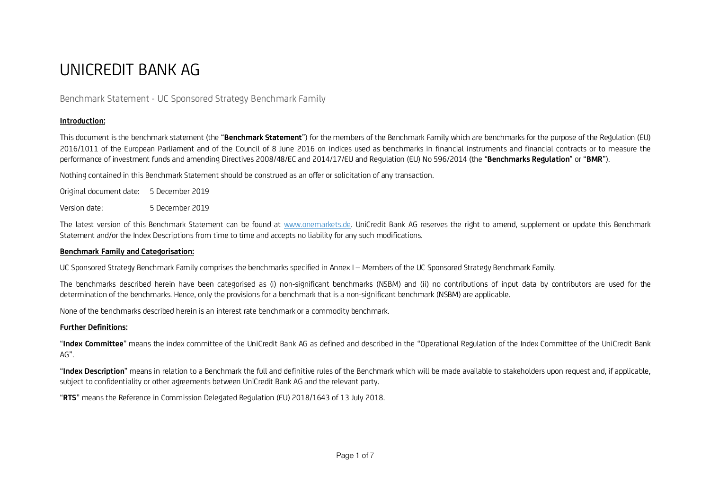# UNICREDIT BANK AG

# Benchmark Statement - UC Sponsored Strategy Benchmark Family

## **Introduction:**

This document is the benchmark statement (the "**Benchmark Statement**") for the members of the Benchmark Family which are benchmarks for the purpose of the Regulation (EU) 2016/1011 of the European Parliament and of the Council of 8 June 2016 on indices used as benchmarks in financial instruments and financial contracts or to measure the performance of investment funds and amending Directives 2008/48/EC and 2014/17/EU and Regulation (EU) No 596/2014 (the "**Benchmarks Regulation**" or "**BMR**").

Nothing contained in this Benchmark Statement should be construed as an offer or solicitation of any transaction.

| Original document date: | 5 December 2019 |
|-------------------------|-----------------|
| Version date:           | 5 December 2019 |

The latest version of this Benchmark Statement can be found at www.onemarkets.de. UniCredit Bank AG reserves the right to amend, supplement or update this Benchmark Statement and/or the Index Descriptions from time to time and accepts no liability for any such modifications.

#### **Benchmark Family and Categorisation:**

UC Sponsored Strategy Benchmark Family comprises the benchmarks specified in Annex I – Members of the UC Sponsored Strategy Benchmark Family.

The benchmarks described herein have been categorised as (i) non-significant benchmarks (NSBM) and (ii) no contributions of input data by contributors are used for the determination of the benchmarks. Hence, only the provisions for a benchmark that is a non-significant benchmark (NSBM) are applicable.

None of the benchmarks described herein is an interest rate benchmark or a commodity benchmark.

### **Further Definitions:**

"**Index Committee**" means the index committee of the UniCredit Bank AG as defined and described in the "Operational Regulation of the Index Committee of the UniCredit Bank AG".

"**Index Description**" means in relation to a Benchmark the full and definitive rules of the Benchmark which will be made available to stakeholders upon request and, if applicable, subject to confidentiality or other agreements between UniCredit Bank AG and the relevant party.

"**RTS**" means the Reference in Commission Delegated Regulation (EU) 2018/1643 of 13 July 2018.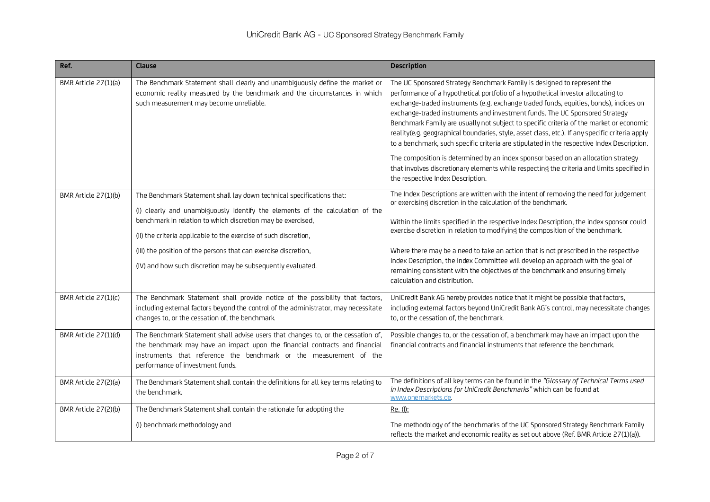| Ref.                 | <b>Clause</b>                                                                                                                                                                                                                                                                                                                                                                                                               | <b>Description</b>                                                                                                                                                                                                                                                                                                                                                                                                                                                                                                                                                                                                                                                                                                                                                                                                                                      |
|----------------------|-----------------------------------------------------------------------------------------------------------------------------------------------------------------------------------------------------------------------------------------------------------------------------------------------------------------------------------------------------------------------------------------------------------------------------|---------------------------------------------------------------------------------------------------------------------------------------------------------------------------------------------------------------------------------------------------------------------------------------------------------------------------------------------------------------------------------------------------------------------------------------------------------------------------------------------------------------------------------------------------------------------------------------------------------------------------------------------------------------------------------------------------------------------------------------------------------------------------------------------------------------------------------------------------------|
| BMR Article 27(1)(a) | The Benchmark Statement shall clearly and unambiguously define the market or<br>economic reality measured by the benchmark and the circumstances in which<br>such measurement may become unreliable.                                                                                                                                                                                                                        | The UC Sponsored Strategy Benchmark Family is designed to represent the<br>performance of a hypothetical portfolio of a hypothetical investor allocating to<br>exchange-traded instruments (e.g. exchange traded funds, equities, bonds), indices on<br>exchange-traded instruments and investment funds. The UC Sponsored Strategy<br>Benchmark Family are usually not subject to specific criteria of the market or economic<br>reality(e.g. geographical boundaries, style, asset class, etc.). If any specific criteria apply<br>to a benchmark, such specific criteria are stipulated in the respective Index Description.<br>The composition is determined by an index sponsor based on an allocation strategy<br>that involves discretionary elements while respecting the criteria and limits specified in<br>the respective Index Description. |
| BMR Article 27(1)(b) | The Benchmark Statement shall lay down technical specifications that:<br>(I) clearly and unambiguously identify the elements of the calculation of the<br>benchmark in relation to which discretion may be exercised,<br>(II) the criteria applicable to the exercise of such discretion,<br>(III) the position of the persons that can exercise discretion,<br>(IV) and how such discretion may be subsequently evaluated. | The Index Descriptions are written with the intent of removing the need for judgement<br>or exercising discretion in the calculation of the benchmark.<br>Within the limits specified in the respective Index Description, the index sponsor could<br>exercise discretion in relation to modifying the composition of the benchmark.<br>Where there may be a need to take an action that is not prescribed in the respective<br>Index Description, the Index Committee will develop an approach with the goal of<br>remaining consistent with the objectives of the benchmark and ensuring timely<br>calculation and distribution.                                                                                                                                                                                                                      |
| BMR Article 27(1)(c) | The Benchmark Statement shall provide notice of the possibility that factors,<br>including external factors beyond the control of the administrator, may necessitate<br>changes to, or the cessation of, the benchmark.                                                                                                                                                                                                     | UniCredit Bank AG hereby provides notice that it might be possible that factors,<br>including external factors beyond UniCredit Bank AG's control, may necessitate changes<br>to, or the cessation of, the benchmark.                                                                                                                                                                                                                                                                                                                                                                                                                                                                                                                                                                                                                                   |
| BMR Article 27(1)(d) | The Benchmark Statement shall advise users that changes to, or the cessation of,<br>the benchmark may have an impact upon the financial contracts and financial<br>instruments that reference the benchmark or the measurement of the<br>performance of investment funds.                                                                                                                                                   | Possible changes to, or the cessation of, a benchmark may have an impact upon the<br>financial contracts and financial instruments that reference the benchmark.                                                                                                                                                                                                                                                                                                                                                                                                                                                                                                                                                                                                                                                                                        |
| BMR Article 27(2)(a) | The Benchmark Statement shall contain the definitions for all key terms relating to<br>the benchmark.                                                                                                                                                                                                                                                                                                                       | The definitions of all key terms can be found in the "Glossary of Technical Terms used<br>in Index Descriptions for UniCredit Benchmarks" which can be found at<br>www.onemarkets.de                                                                                                                                                                                                                                                                                                                                                                                                                                                                                                                                                                                                                                                                    |
| BMR Article 27(2)(b) | The Benchmark Statement shall contain the rationale for adopting the                                                                                                                                                                                                                                                                                                                                                        | Re. (l):                                                                                                                                                                                                                                                                                                                                                                                                                                                                                                                                                                                                                                                                                                                                                                                                                                                |
|                      | (I) benchmark methodology and                                                                                                                                                                                                                                                                                                                                                                                               | The methodology of the benchmarks of the UC Sponsored Strategy Benchmark Family<br>reflects the market and economic reality as set out above (Ref. BMR Article 27(1)(a)).                                                                                                                                                                                                                                                                                                                                                                                                                                                                                                                                                                                                                                                                               |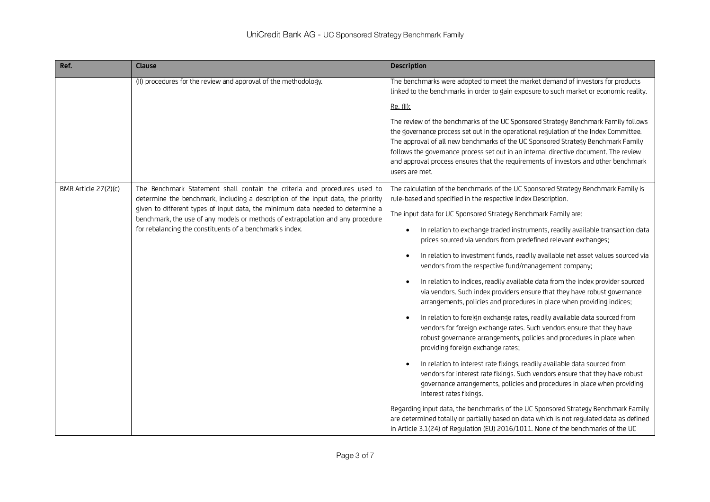| Ref.                 | Clause                                                                                                                                                           | <b>Description</b>                                                                                                                                                                                                                                                                                                                                                                                                                                              |
|----------------------|------------------------------------------------------------------------------------------------------------------------------------------------------------------|-----------------------------------------------------------------------------------------------------------------------------------------------------------------------------------------------------------------------------------------------------------------------------------------------------------------------------------------------------------------------------------------------------------------------------------------------------------------|
|                      | (II) procedures for the review and approval of the methodology.                                                                                                  | The benchmarks were adopted to meet the market demand of investors for products<br>linked to the benchmarks in order to gain exposure to such market or economic reality.                                                                                                                                                                                                                                                                                       |
|                      |                                                                                                                                                                  | Re. (II):                                                                                                                                                                                                                                                                                                                                                                                                                                                       |
|                      |                                                                                                                                                                  | The review of the benchmarks of the UC Sponsored Strategy Benchmark Family follows<br>the governance process set out in the operational regulation of the Index Committee.<br>The approval of all new benchmarks of the UC Sponsored Strategy Benchmark Family<br>follows the governance process set out in an internal directive document. The review<br>and approval process ensures that the requirements of investors and other benchmark<br>users are met. |
| BMR Article 27(2)(c) | The Benchmark Statement shall contain the criteria and procedures used to<br>determine the benchmark, including a description of the input data, the priority    | The calculation of the benchmarks of the UC Sponsored Strategy Benchmark Family is<br>rule-based and specified in the respective Index Description.                                                                                                                                                                                                                                                                                                             |
|                      | given to different types of input data, the minimum data needed to determine a<br>benchmark, the use of any models or methods of extrapolation and any procedure | The input data for UC Sponsored Strategy Benchmark Family are:                                                                                                                                                                                                                                                                                                                                                                                                  |
|                      | for rebalancing the constituents of a benchmark's index.                                                                                                         | In relation to exchange traded instruments, readily available transaction data<br>$\bullet$<br>prices sourced via vendors from predefined relevant exchanges;                                                                                                                                                                                                                                                                                                   |
|                      |                                                                                                                                                                  | In relation to investment funds, readily available net asset values sourced via<br>vendors from the respective fund/management company;                                                                                                                                                                                                                                                                                                                         |
|                      |                                                                                                                                                                  | In relation to indices, readily available data from the index provider sourced<br>via vendors. Such index providers ensure that they have robust governance<br>arrangements, policies and procedures in place when providing indices;                                                                                                                                                                                                                           |
|                      |                                                                                                                                                                  | In relation to foreign exchange rates, readily available data sourced from<br>vendors for foreign exchange rates. Such vendors ensure that they have<br>robust governance arrangements, policies and procedures in place when<br>providing foreign exchange rates;                                                                                                                                                                                              |
|                      |                                                                                                                                                                  | In relation to interest rate fixings, readily available data sourced from<br>vendors for interest rate fixings. Such vendors ensure that they have robust<br>governance arrangements, policies and procedures in place when providing<br>interest rates fixings.                                                                                                                                                                                                |
|                      |                                                                                                                                                                  | Regarding input data, the benchmarks of the UC Sponsored Strategy Benchmark Family<br>are determined totally or partially based on data which is not regulated data as defined<br>in Article 3.1(24) of Regulation (EU) 2016/1011. None of the benchmarks of the UC                                                                                                                                                                                             |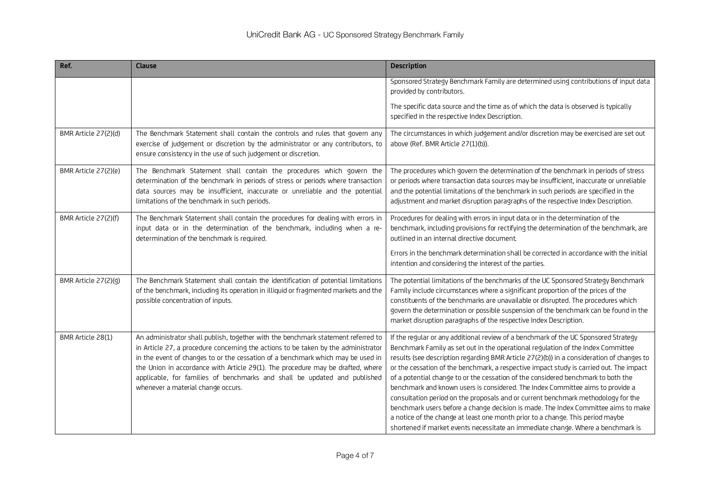| Ref.                 | <b>Clause</b>                                                                                                                                                                                                                                                                                                                                                                                                                                                    | <b>Description</b>                                                                                                                                                                                                                                                                                                                                                                                                                                                                                                                                                                                                                                                                                                                                                                                                                                                                      |
|----------------------|------------------------------------------------------------------------------------------------------------------------------------------------------------------------------------------------------------------------------------------------------------------------------------------------------------------------------------------------------------------------------------------------------------------------------------------------------------------|-----------------------------------------------------------------------------------------------------------------------------------------------------------------------------------------------------------------------------------------------------------------------------------------------------------------------------------------------------------------------------------------------------------------------------------------------------------------------------------------------------------------------------------------------------------------------------------------------------------------------------------------------------------------------------------------------------------------------------------------------------------------------------------------------------------------------------------------------------------------------------------------|
|                      |                                                                                                                                                                                                                                                                                                                                                                                                                                                                  | Sponsored Strategy Benchmark Family are determined using contributions of input data<br>provided by contributors.                                                                                                                                                                                                                                                                                                                                                                                                                                                                                                                                                                                                                                                                                                                                                                       |
|                      |                                                                                                                                                                                                                                                                                                                                                                                                                                                                  | The specific data source and the time as of which the data is observed is typically<br>specified in the respective Index Description.                                                                                                                                                                                                                                                                                                                                                                                                                                                                                                                                                                                                                                                                                                                                                   |
| BMR Article 27(2)(d) | The Benchmark Statement shall contain the controls and rules that govern any<br>exercise of judgement or discretion by the administrator or any contributors, to<br>ensure consistency in the use of such judgement or discretion.                                                                                                                                                                                                                               | The circumstances in which judgement and/or discretion may be exercised are set out<br>above (Ref. BMR Article 27(1)(b)).                                                                                                                                                                                                                                                                                                                                                                                                                                                                                                                                                                                                                                                                                                                                                               |
| BMR Article 27(2)(e) | The Benchmark Statement shall contain the procedures which govern the<br>determination of the benchmark in periods of stress or periods where transaction<br>data sources may be insufficient, inaccurate or unreliable and the potential<br>limitations of the benchmark in such periods.                                                                                                                                                                       | The procedures which govern the determination of the benchmark in periods of stress<br>or periods where transaction data sources may be insufficient, inaccurate or unreliable<br>and the potential limitations of the benchmark in such periods are specified in the<br>adjustment and market disruption paragraphs of the respective Index Description.                                                                                                                                                                                                                                                                                                                                                                                                                                                                                                                               |
| BMR Article 27(2)(f) | The Benchmark Statement shall contain the procedures for dealing with errors in<br>input data or in the determination of the benchmark, including when a re-<br>determination of the benchmark is required.                                                                                                                                                                                                                                                      | Procedures for dealing with errors in input data or in the determination of the<br>benchmark, including provisions for rectifying the determination of the benchmark, are<br>outlined in an internal directive document.                                                                                                                                                                                                                                                                                                                                                                                                                                                                                                                                                                                                                                                                |
|                      |                                                                                                                                                                                                                                                                                                                                                                                                                                                                  | Errors in the benchmark determination shall be corrected in accordance with the initial<br>intention and considering the interest of the parties.                                                                                                                                                                                                                                                                                                                                                                                                                                                                                                                                                                                                                                                                                                                                       |
| BMR Article 27(2)(g) | The Benchmark Statement shall contain the identification of potential limitations<br>of the benchmark, including its operation in illiquid or fragmented markets and the<br>possible concentration of inputs.                                                                                                                                                                                                                                                    | The potential limitations of the benchmarks of the UC Sponsored Strategy Benchmark<br>Family include circumstances where a significant proportion of the prices of the<br>constituents of the benchmarks are unavailable or disrupted. The procedures which<br>govern the determination or possible suspension of the benchmark can be found in the<br>market disruption paragraphs of the respective Index Description.                                                                                                                                                                                                                                                                                                                                                                                                                                                                |
| BMR Article 28(1)    | An administrator shall publish, together with the benchmark statement referred to<br>in Article 27, a procedure concerning the actions to be taken by the administrator<br>in the event of changes to or the cessation of a benchmark which may be used in<br>the Union in accordance with Article 29(1). The procedure may be drafted, where<br>applicable, for families of benchmarks and shall be updated and published<br>whenever a material change occurs. | If the regular or any additional review of a benchmark of the UC Sponsored Strategy<br>Benchmark Family as set out in the operational regulation of the Index Committee<br>results (see description regarding BMR Article 27(2)(b)) in a consideration of changes to<br>or the cessation of the benchmark, a respective impact study is carried out. The impact<br>of a potential change to or the cessation of the considered benchmark to both the<br>benchmark and known users is considered. The Index Committee aims to provide a<br>consultation period on the proposals and or current benchmark methodology for the<br>benchmark users before a change decision is made. The Index Committee aims to make<br>a notice of the change at least one month prior to a change. This period maybe<br>shortened if market events necessitate an immediate change. Where a benchmark is |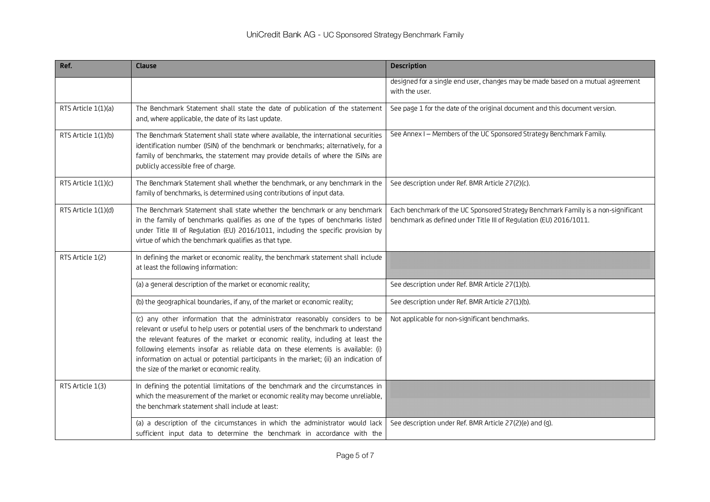| Ref.                | <b>Clause</b>                                                                                                                                                                                                                                                                                                                                                                                                                                                                  | <b>Description</b>                                                                                                                                      |
|---------------------|--------------------------------------------------------------------------------------------------------------------------------------------------------------------------------------------------------------------------------------------------------------------------------------------------------------------------------------------------------------------------------------------------------------------------------------------------------------------------------|---------------------------------------------------------------------------------------------------------------------------------------------------------|
|                     |                                                                                                                                                                                                                                                                                                                                                                                                                                                                                | designed for a single end user, changes may be made based on a mutual agreement<br>with the user.                                                       |
| RTS Article 1(1)(a) | The Benchmark Statement shall state the date of publication of the statement<br>and, where applicable, the date of its last update.                                                                                                                                                                                                                                                                                                                                            | See page 1 for the date of the original document and this document version.                                                                             |
| RTS Article 1(1)(b) | The Benchmark Statement shall state where available, the international securities<br>identification number (ISIN) of the benchmark or benchmarks; alternatively, for a<br>family of benchmarks, the statement may provide details of where the ISINs are<br>publicly accessible free of charge.                                                                                                                                                                                | See Annex I - Members of the UC Sponsored Strategy Benchmark Family.                                                                                    |
| RTS Article 1(1)(c) | The Benchmark Statement shall whether the benchmark, or any benchmark in the<br>family of benchmarks, is determined using contributions of input data.                                                                                                                                                                                                                                                                                                                         | See description under Ref. BMR Article 27(2)(c).                                                                                                        |
| RTS Article 1(1)(d) | The Benchmark Statement shall state whether the benchmark or any benchmark<br>in the family of benchmarks qualifies as one of the types of benchmarks listed<br>under Title III of Regulation (EU) 2016/1011, including the specific provision by<br>virtue of which the benchmark qualifies as that type.                                                                                                                                                                     | Each benchmark of the UC Sponsored Strategy Benchmark Family is a non-significant<br>benchmark as defined under Title III of Regulation (EU) 2016/1011. |
| RTS Article 1(2)    | In defining the market or economic reality, the benchmark statement shall include<br>at least the following information:                                                                                                                                                                                                                                                                                                                                                       |                                                                                                                                                         |
|                     | (a) a general description of the market or economic reality;                                                                                                                                                                                                                                                                                                                                                                                                                   | See description under Ref. BMR Article 27(1)(b).                                                                                                        |
|                     | (b) the geographical boundaries, if any, of the market or economic reality;                                                                                                                                                                                                                                                                                                                                                                                                    | See description under Ref. BMR Article 27(1)(b).                                                                                                        |
|                     | (c) any other information that the administrator reasonably considers to be<br>relevant or useful to help users or potential users of the benchmark to understand<br>the relevant features of the market or economic reality, including at least the<br>following elements insofar as reliable data on these elements is available: (i)<br>information on actual or potential participants in the market; (ii) an indication of<br>the size of the market or economic reality. | Not applicable for non-significant benchmarks.                                                                                                          |
| RTS Article 1(3)    | In defining the potential limitations of the benchmark and the circumstances in<br>which the measurement of the market or economic reality may become unreliable,<br>the benchmark statement shall include at least:                                                                                                                                                                                                                                                           |                                                                                                                                                         |
|                     | (a) a description of the circumstances in which the administrator would lack<br>sufficient input data to determine the benchmark in accordance with the                                                                                                                                                                                                                                                                                                                        | See description under Ref. BMR Article 27(2)(e) and (g).                                                                                                |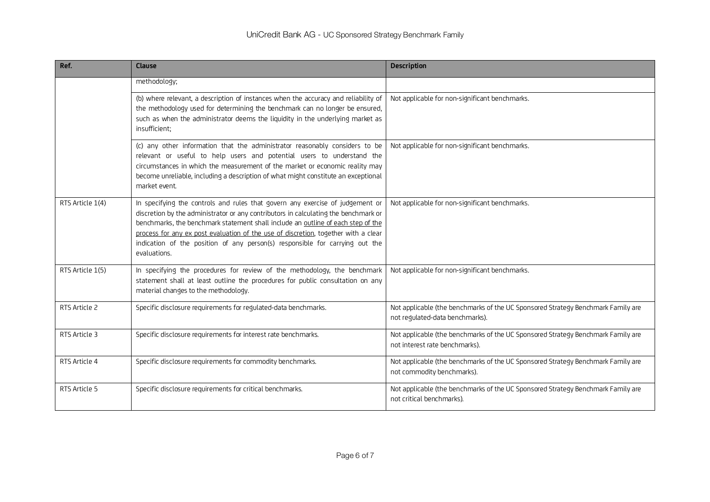| Ref.             | <b>Clause</b>                                                                                                                                                                                                                                                                                                                                                                                                                                  | <b>Description</b>                                                                                                  |
|------------------|------------------------------------------------------------------------------------------------------------------------------------------------------------------------------------------------------------------------------------------------------------------------------------------------------------------------------------------------------------------------------------------------------------------------------------------------|---------------------------------------------------------------------------------------------------------------------|
|                  | methodology;                                                                                                                                                                                                                                                                                                                                                                                                                                   |                                                                                                                     |
|                  | (b) where relevant, a description of instances when the accuracy and reliability of<br>the methodology used for determining the benchmark can no longer be ensured,<br>such as when the administrator deems the liquidity in the underlying market as<br>insufficient:                                                                                                                                                                         | Not applicable for non-significant benchmarks.                                                                      |
|                  | (c) any other information that the administrator reasonably considers to be<br>relevant or useful to help users and potential users to understand the<br>circumstances in which the measurement of the market or economic reality may<br>become unreliable, including a description of what might constitute an exceptional<br>market event.                                                                                                   | Not applicable for non-significant benchmarks.                                                                      |
| RTS Article 1(4) | In specifying the controls and rules that govern any exercise of judgement or<br>discretion by the administrator or any contributors in calculating the benchmark or<br>benchmarks, the benchmark statement shall include an outline of each step of the<br>process for any ex post evaluation of the use of discretion, together with a clear<br>indication of the position of any person(s) responsible for carrying out the<br>evaluations. | Not applicable for non-significant benchmarks.                                                                      |
| RTS Article 1(5) | In specifying the procedures for review of the methodology, the benchmark<br>statement shall at least outline the procedures for public consultation on any<br>material changes to the methodology.                                                                                                                                                                                                                                            | Not applicable for non-significant benchmarks.                                                                      |
| RTS Article 2    | Specific disclosure requirements for regulated-data benchmarks.                                                                                                                                                                                                                                                                                                                                                                                | Not applicable (the benchmarks of the UC Sponsored Strategy Benchmark Family are<br>not regulated-data benchmarks). |
| RTS Article 3    | Specific disclosure requirements for interest rate benchmarks.                                                                                                                                                                                                                                                                                                                                                                                 | Not applicable (the benchmarks of the UC Sponsored Strategy Benchmark Family are<br>not interest rate benchmarks).  |
| RTS Article 4    | Specific disclosure requirements for commodity benchmarks.                                                                                                                                                                                                                                                                                                                                                                                     | Not applicable (the benchmarks of the UC Sponsored Strategy Benchmark Family are<br>not commodity benchmarks).      |
| RTS Article 5    | Specific disclosure requirements for critical benchmarks.                                                                                                                                                                                                                                                                                                                                                                                      | Not applicable (the benchmarks of the UC Sponsored Strategy Benchmark Family are<br>not critical benchmarks).       |